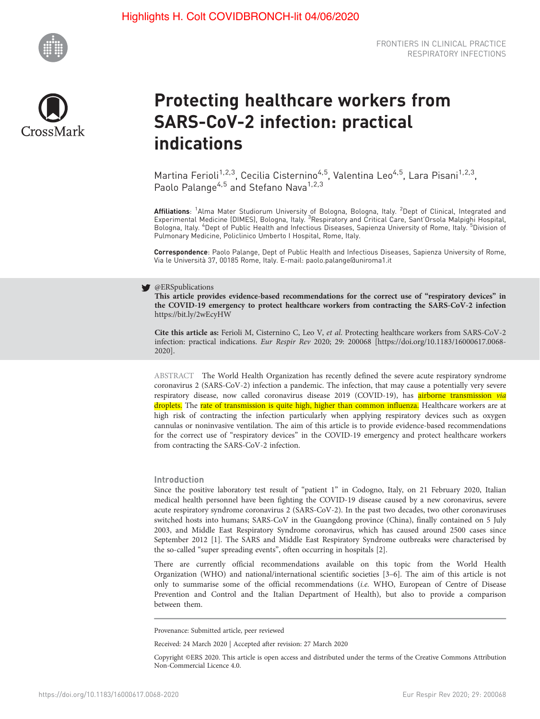



# Protecting healthcare workers from SARS-CoV-2 infection: practical indications

Martina Ferioli<sup>1,2,3</sup>, Cecilia Cisternino<sup>4,5</sup>, Valentina Leo<sup>4,5</sup>, Lara Pisani<sup>1,2,3</sup>, Paolo Palange<sup>4,5</sup> and Stefano Nava<sup>1,2,3</sup>

**Affiliations**: <sup>1</sup>Alma Mater Studiorum University of Bologna, Bologna, Italy. <sup>2</sup>Dept of Clinical, Integrated and<br>Experimental Medicine (DIMES), Bologna, Italy. <sup>3</sup>Respiratory and Critical Care, Sant'Orsola Malpighi Hospi Bologna, Italy. <sup>4</sup>Dept of Public Health and Infectious Diseases, Sapienza University of Rome, Italy. <sup>5</sup>Division of Pulmonary Medicine, Policlinico Umberto I Hospital, Rome, Italy.

Correspondence: Paolo Palange, Dept of Public Health and Infectious Diseases, Sapienza University of Rome, Via le Università 37, 00185 Rome, Italy. E-mail: [paolo.palange@uniroma1.it](mailto:paolo.palange@uniroma1.it)

#### V @ERSpublications

This article provides evidence-based recommendations for the correct use of "respiratory devices" in the COVID-19 emergency to protect healthcare workers from contracting the SARS-CoV-2 infection <https://bit.ly/2wEcyHW>

Cite this article as: Ferioli M, Cisternino C, Leo V, et al. Protecting healthcare workers from SARS-CoV-2 infection: practical indications. Eur Respir Rev 2020; 29: 200068 [\[https://doi.org/10.1183/16000617.0068-](https://doi.org/10.1183/16000617.0068-2020) [2020\].](https://doi.org/10.1183/16000617.0068-2020)

ABSTRACT The World Health Organization has recently defined the severe acute respiratory syndrome coronavirus 2 (SARS-CoV-2) infection a pandemic. The infection, that may cause a potentially very severe respiratory disease, now called coronavirus disease 2019 (COVID-19), has **airborne transmission** via droplets. The rate of transmission is quite high, higher than common influenza. Healthcare workers are at high risk of contracting the infection particularly when applying respiratory devices such as oxygen cannulas or noninvasive ventilation. The aim of this article is to provide evidence-based recommendations for the correct use of "respiratory devices" in the COVID-19 emergency and protect healthcare workers from contracting the SARS-CoV-2 infection.

### Introduction

Since the positive laboratory test result of "patient 1" in Codogno, Italy, on 21 February 2020, Italian medical health personnel have been fighting the COVID-19 disease caused by a new coronavirus, severe acute respiratory syndrome coronavirus 2 (SARS-CoV-2). In the past two decades, two other coronaviruses switched hosts into humans; SARS-CoV in the Guangdong province (China), finally contained on 5 July 2003, and Middle East Respiratory Syndrome coronavirus, which has caused around 2500 cases since September 2012 [[1](#page-8-0)]. The SARS and Middle East Respiratory Syndrome outbreaks were characterised by the so-called "super spreading events", often occurring in hospitals [\[2](#page-8-0)].

There are currently official recommendations available on this topic from the World Health Organization (WHO) and national/international scientific societies [\[3](#page-9-0)–[6](#page-9-0)]. The aim of this article is not only to summarise some of the official recommendations (i.e. WHO, European of Centre of Disease Prevention and Control and the Italian Department of Health), but also to provide a comparison between them.

Provenance: Submitted article, peer reviewed

Received: 24 March 2020 | Accepted after revision: 27 March 2020

Copyright ©ERS 2020. This article is open access and distributed under the terms of the Creative Commons Attribution Non-Commercial Licence 4.0.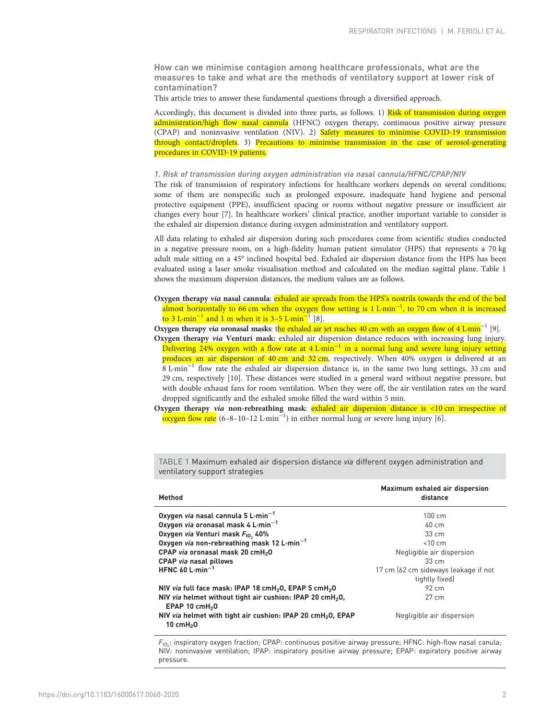How can we minimise contagion among healthcare professionals, what are the measures to take and what are the methods of ventilatory support at lower risk of contamination?

This article tries to answer these fundamental questions through a diversified approach.

Accordingly, this document is divided into three parts, as follows. 1) Risk of transmission during oxygen administration/high flow nasal cannula (HFNC) oxygen therapy, continuous positive airway pressure (CPAP) and noninvasive ventilation (NIV). 2) Safety measures to minimise COVID-19 transmission through contact/droplets. 3) Precautions to minimise transmission in the case of aerosol-generating procedures in COVID-19 patients.

#### 1. Risk of transmission during oxygen administration via nasal cannula/HFNC/CPAP/NIV

The risk of transmission of respiratory infections for healthcare workers depends on several conditions; some of them are nonspecific such as prolonged exposure, inadequate hand hygiene and personal protective equipment (PPE), insufficient spacing or rooms without negative pressure or insufficient air changes every hour [[7\]](#page-9-0). In healthcare workers' clinical practice, another important variable to consider is the exhaled air dispersion distance during oxygen administration and ventilatory support.

All data relating to exhaled air dispersion during such procedures come from scientific studies conducted in a negative pressure room, on a high-fidelity human patient simulator (HPS) that represents a 70 kg adult male sitting on a 45° inclined hospital bed. Exhaled air dispersion distance from the HPS has been evaluated using a laser smoke visualisation method and calculated on the median sagittal plane. Table 1 shows the maximum dispersion distances, the medium values are as follows.

Oxygen therapy via nasal cannula: exhaled air spreads from the HPS's nostrils towards the end of the bed almost horizontally to 66 cm when the oxygen flow setting is 1 L·min<sup>-1</sup>, to 70 cm when it is increased to 3 L·min<sup>-1</sup> and 1 m when it is 3–5 L·min<sup>-1</sup> [[8\]](#page-9-0).

Oxygen therapy *via* oronasal masks: the exhaled air jet reaches 40 cm with an oxygen flow of 4 L-min<sup>-1</sup> [\[9\]](#page-9-0).

Oxygen therapy via Venturi mask: exhaled air dispersion distance reduces with increasing lung injury. Delivering 24% oxygen with a flow rate at  $4 L \text{min}^{-1}$  in a normal lung and severe lung injury setting produces an air dispersion of 40 cm and 32 cm, respectively. When 40% oxygen is delivered at an 8 L·min−<sup>1</sup> flow rate the exhaled air dispersion distance is, in the same two lung settings, 33 cm and 29 cm, respectively [\[10\]](#page-9-0). These distances were studied in a general ward without negative pressure, but with double exhaust fans for room ventilation. When they were off, the air ventilation rates on the ward dropped significantly and the exhaled smoke filled the ward within 5 min.

Oxygen therapy via non-rebreathing mask: exhaled air dispersion distance is <10 cm irrespective of oxygen flow rate (6–8–10–12 L·min−<sup>1</sup> ) in either normal lung or severe lung injury [[6\]](#page-9-0).

| Method                                                                                  | Maximum exhaled air dispersion<br>distance |
|-----------------------------------------------------------------------------------------|--------------------------------------------|
| Oxygen <i>via</i> nasal cannula 5 $L \cdot min^{-1}$                                    | $100 \text{ cm}$                           |
| Oxygen via oronasal mask 4 L-min <sup>-1</sup>                                          | $40 \text{ cm}$                            |
| Oxygen via Venturi mask F <sub>10</sub> , 40%                                           | $33 \text{ cm}$                            |
| Oxygen via non-rebreathing mask 12 L-min <sup>-1</sup>                                  | < 10 cm                                    |
| CPAP via oronasal mask 20 cmH <sub>2</sub> 0                                            | Negligible air dispersion                  |
| <b>CPAP</b> via nasal pillows                                                           | $33 \, \text{cm}$                          |
| HFNC 60 $L \cdot min^{-1}$                                                              | 17 cm (62 cm sideways leakage if not       |
|                                                                                         | tightly fixed)                             |
| NIV via full face mask: IPAP 18 cmH <sub>2</sub> 0, EPAP 5 cmH <sub>2</sub> 0           | $92 \, \text{cm}$                          |
| NIV via helmet without tight air cushion: IPAP 20 cmH <sub>2</sub> 0.                   | $27 \text{ cm}$                            |
| EPAP 10 $cmH2$ 0                                                                        |                                            |
| NIV via helmet with tight air cushion: IPAP 20 cmH <sub>2</sub> O, EPAP<br>10 cm $H2$ 0 | Negligible air dispersion                  |

TABLE 1 Maximum exhaled air dispersion distance via different oxygen administration and ventilatory support strategies

 $\mathit{{F}_{10_2}}$ : inspiratory oxygen fraction; CPAP: continuous positive airway pressure; HFNC: high-flow nasal canula; NIV: noninvasive ventilation; IPAP: inspiratory positive airway pressure; EPAP: expiratory positive airway pressure.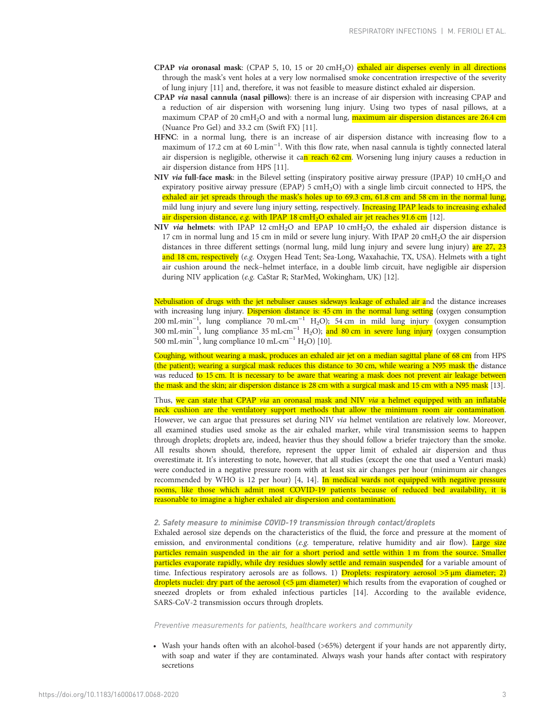- CPAP via oronasal mask: (CPAP 5, 10, 15 or 20 cmH<sub>2</sub>O) exhaled air disperses evenly in all directions through the mask's vent holes at a very low normalised smoke concentration irrespective of the severity of lung injury [[11](#page-9-0)] and, therefore, it was not feasible to measure distinct exhaled air dispersion.
- CPAP via nasal cannula (nasal pillows): there is an increase of air dispersion with increasing CPAP and a reduction of air dispersion with worsening lung injury. Using two types of nasal pillows, at a maximum CPAP of 20 cmH<sub>2</sub>O and with a normal lung, **maximum air dispersion distances are 26.4 cm** (Nuance Pro Gel) and 33.2 cm (Swift FX) [[11](#page-9-0)].
- HFNC: in a normal lung, there is an increase of air dispersion distance with increasing flow to a maximum of 17.2 cm at 60 L·min<sup>-1</sup>. With this flow rate, when nasal cannula is tightly connected lateral air dispersion is negligible, otherwise it can reach 62 cm. Worsening lung injury causes a reduction in air dispersion distance from HPS [[11\]](#page-9-0).
- NIV via full-face mask: in the Bilevel setting (inspiratory positive airway pressure (IPAP) 10 cmH<sub>2</sub>O and expiratory positive airway pressure (EPAP) 5 cmH<sub>2</sub>O) with a single limb circuit connected to HPS, the exhaled air jet spreads through the mask's holes up to 69.3 cm, 61.8 cm and 58 cm in the normal lung, mild lung injury and severe lung injury setting, respectively. Increasing IPAP leads to increasing exhaled air dispersion distance, e.g. with IPAP 18 cmH<sub>2</sub>O exhaled air jet reaches 91.6 cm [\[12\]](#page-9-0).
- NIV via helmets: with IPAP 12 cmH<sub>2</sub>O and EPAP 10 cmH<sub>2</sub>O, the exhaled air dispersion distance is 17 cm in normal lung and 15 cm in mild or severe lung injury. With IPAP 20 cmH2O the air dispersion distances in three different settings (normal lung, mild lung injury and severe lung injury) are 27, 23 and 18 cm, respectively (e.g. Oxygen Head Tent; Sea-Long, Waxahachie, TX, USA). Helmets with a tight air cushion around the neck–helmet interface, in a double limb circuit, have negligible air dispersion during NIV application (e.g. CaStar R; StarMed, Wokingham, UK) [[12](#page-9-0)].

Nebulisation of drugs with the jet nebuliser causes sideways leakage of exhaled air and the distance increases with increasing lung injury. Dispersion distance is: 45 cm in the normal lung setting (oxygen consumption 200 mL·min<sup>-1</sup>, lung compliance 70 mL·cm<sup>-1</sup> H<sub>2</sub>O); 54 cm in mild lung injury (oxygen consumption 300 mL·min<sup>-1</sup>, lung compliance 35 mL·cm<sup>-1</sup> H<sub>2</sub>O); <mark>and 80 cm in severe lung injury</mark> (oxygen consumption 500 mL·min−<sup>1</sup> , lung compliance 10 mL·cm−<sup>1</sup> H2O) [\[10](#page-9-0)].

Coughing, without wearing a mask, produces an exhaled air jet on a median sagittal plane of 68 cm from HPS (the patient); wearing a surgical mask reduces this distance to 30 cm, while wearing a N95 mask the distance was reduced to 15 cm. It is necessary to be aware that wearing a mask does not prevent air leakage between the mask and the skin; air dispersion distance is 28 cm with a surgical mask and 15 cm with a N95 mask [\[13](#page-9-0)].

Thus, we can state that CPAP *via* an oronasal mask and NIV *via* a helmet equipped with an inflatable neck cushion are the ventilatory support methods that allow the minimum room air contamination. However, we can argue that pressures set during NIV via helmet ventilation are relatively low. Moreover, all examined studies used smoke as the air exhaled marker, while viral transmission seems to happen through droplets; droplets are, indeed, heavier thus they should follow a briefer trajectory than the smoke. All results shown should, therefore, represent the upper limit of exhaled air dispersion and thus overestimate it. It's interesting to note, however, that all studies (except the one that used a Venturi mask) were conducted in a negative pressure room with at least six air changes per hour (minimum air changes recommended by WHO is 12 per hour) [[4](#page-9-0), [14\]](#page-9-0). In medical wards not equipped with negative pressure rooms, like those which admit most COVID-19 patients because of reduced bed availability, it is reasonable to imagine a higher exhaled air dispersion and contamination.

# 2. Safety measure to minimise COVID-19 transmission through contact/droplets

Exhaled aerosol size depends on the characteristics of the fluid, the force and pressure at the moment of emission, and environmental conditions (e.g. temperature, relative humidity and air flow). Large size particles remain suspended in the air for a short period and settle within 1 m from the source. Smaller particles evaporate rapidly, while dry residues slowly settle and remain suspended for a variable amount of time. Infectious respiratory aerosols are as follows. 1) Droplets: respiratory aerosol  $>5 \mu m$  diameter; 2) droplets nuclei: dry part of the aerosol  $\left\langle \langle 5 \mu \right\rangle$  diameter) which results from the evaporation of coughed or sneezed droplets or from exhaled infectious particles [[14](#page-9-0)]. According to the available evidence, SARS-CoV-2 transmission occurs through droplets.

Preventive measurements for patients, healthcare workers and community

• Wash your hands often with an alcohol-based (>65%) detergent if your hands are not apparently dirty, with soap and water if they are contaminated. Always wash your hands after contact with respiratory secretions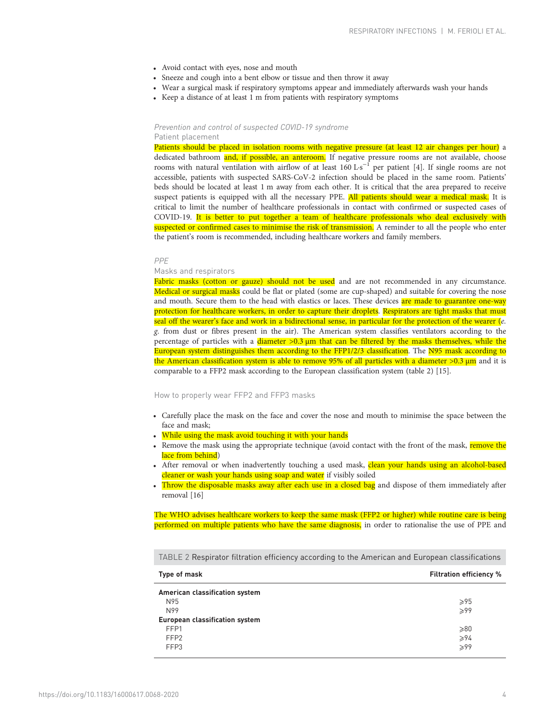- <span id="page-3-0"></span>• Avoid contact with eyes, nose and mouth
- Sneeze and cough into a bent elbow or tissue and then throw it away
- Wear a surgical mask if respiratory symptoms appear and immediately afterwards wash your hands
- Keep a distance of at least 1 m from patients with respiratory symptoms

## Prevention and control of suspected COVID-19 syndrome Patient placement

Patients should be placed in isolation rooms with negative pressure (at least 12 air changes per hour) a dedicated bathroom and, if possible, an anteroom. If negative pressure rooms are not available, choose rooms with natural ventilation with airflow of at least 160 L⋅s<sup>-1</sup> per patient [\[4](#page-9-0)]. If single rooms are not accessible, patients with suspected SARS-CoV-2 infection should be placed in the same room. Patients' beds should be located at least 1 m away from each other. It is critical that the area prepared to receive suspect patients is equipped with all the necessary PPE. All patients should wear a medical mask. It is critical to limit the number of healthcare professionals in contact with confirmed or suspected cases of COVID-19. It is better to put together a team of healthcare professionals who deal exclusively with suspected or confirmed cases to minimise the risk of transmission. A reminder to all the people who enter the patient's room is recommended, including healthcare workers and family members.

#### PPE

# Masks and respirators

Fabric masks (cotton or gauze) should not be used and are not recommended in any circumstance. Medical or surgical masks could be flat or plated (some are cup-shaped) and suitable for covering the nose and mouth. Secure them to the head with elastics or laces. These devices are made to guarantee one-way protection for healthcare workers, in order to capture their droplets. Respirators are tight masks that must seal off the wearer's face and work in a bidirectional sense, in particular for the protection of the wearer (e. g. from dust or fibres present in the air). The American system classifies ventilators according to the percentage of particles with a diameter  $>0.3$   $\mu$ m that can be filtered by the masks themselves, while the European system distinguishes them according to the FFP1/2/3 classification. The N95 mask according to the American classification system is able to remove 95% of all particles with a diameter  $>0.3 \mu m$  and it is comparable to a FFP2 mask according to the European classification system (table 2) [\[15\]](#page-9-0).

#### How to properly wear FFP2 and FFP3 masks

- Carefully place the mask on the face and cover the nose and mouth to minimise the space between the face and mask;
- While using the mask avoid touching it with your hands
- Remove the mask using the appropriate technique (avoid contact with the front of the mask, remove the lace from behind)
- After removal or when inadvertently touching a used mask, clean your hands using an alcohol-based cleaner or wash your hands using soap and water if visibly soiled
- Throw the disposable masks away after each use in a closed bag and dispose of them immediately after removal [\[16\]](#page-9-0)

The WHO advises healthcare workers to keep the same mask (FFP2 or higher) while routine care is being performed on multiple patients who have the same diagnosis, in order to rationalise the use of PPE and

TABLE 2 Respirator filtration efficiency according to the American and European classifications

| Type of mask                          | <b>Filtration efficiency %</b> |
|---------------------------------------|--------------------------------|
| American classification system        |                                |
| N95                                   | $\geqslant$ 95                 |
| N99                                   | >99                            |
| <b>European classification system</b> |                                |
| FFP1                                  | $\geqslant 80$                 |
| FFP <sub>2</sub>                      | $\geqslant$ 94                 |
| FFP3                                  | >99                            |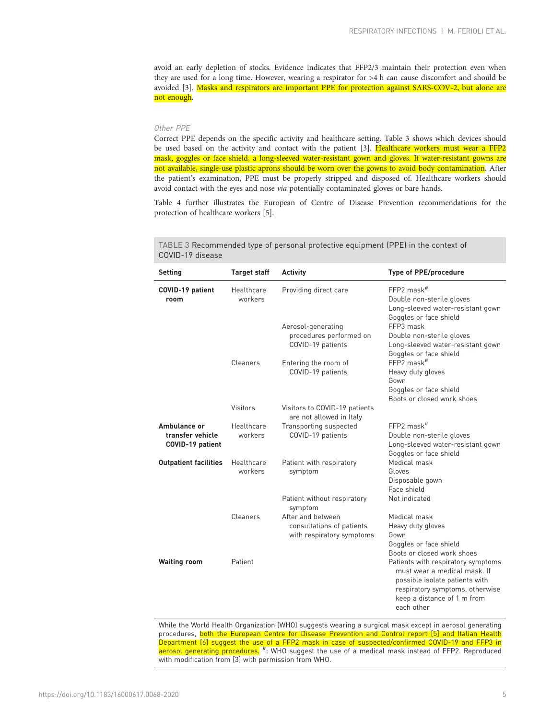<span id="page-4-0"></span>avoid an early depletion of stocks. Evidence indicates that FFP2/3 maintain their protection even when they are used for a long time. However, wearing a respirator for >4 h can cause discomfort and should be avoided [\[3](#page-9-0)]. Masks and respirators are important PPE for protection against SARS-COV-2, but alone are not enough.

# Other PPE

Correct PPE depends on the specific activity and healthcare setting. Table 3 shows which devices should be used based on the activity and contact with the patient [[3\]](#page-9-0). Healthcare workers must wear a FFP2 mask, goggles or face shield, a long-sleeved water-resistant gown and gloves. If water-resistant gowns are not available, single-use plastic aprons should be worn over the gowns to avoid body contamination. After the patient's examination, PPE must be properly stripped and disposed of. Healthcare workers should avoid contact with the eyes and nose via potentially contaminated gloves or bare hands.

[Table 4](#page-5-0) further illustrates the European of Centre of Disease Prevention recommendations for the protection of healthcare workers [[5](#page-9-0)].

| <b>Setting</b>                                       | <b>Target staff</b>   | <b>Activity</b>                                                             | <b>Type of PPE/procedure</b>                                                                                                                                                         |
|------------------------------------------------------|-----------------------|-----------------------------------------------------------------------------|--------------------------------------------------------------------------------------------------------------------------------------------------------------------------------------|
| COVID-19 patient<br>room                             | Healthcare<br>workers | Providing direct care<br>Aerosol-generating                                 | FFP2 mask <sup>#</sup><br>Double non-sterile gloves<br>Long-sleeved water-resistant gown<br>Goggles or face shield<br>FFP3 mask                                                      |
|                                                      |                       | procedures performed on<br>COVID-19 patients                                | Double non-sterile gloves<br>Long-sleeved water-resistant gown<br>Goggles or face shield                                                                                             |
|                                                      | Cleaners              | Entering the room of<br>COVID-19 patients                                   | $FFP2$ mask <sup>#</sup><br>Heavy duty gloves<br>Gown<br>Goggles or face shield<br>Boots or closed work shoes                                                                        |
|                                                      | Visitors              | Visitors to COVID-19 patients<br>are not allowed in Italy                   |                                                                                                                                                                                      |
| Ambulance or<br>transfer vehicle<br>COVID-19 patient | Healthcare<br>workers | Transporting suspected<br>COVID-19 patients                                 | FFP2 mask <sup>#</sup><br>Double non-sterile gloves<br>Long-sleeved water-resistant gown<br>Goggles or face shield                                                                   |
| <b>Outpatient facilities</b>                         | Healthcare<br>workers | Patient with respiratory<br>symptom                                         | Medical mask<br>Gloves<br>Disposable gown<br>Face shield                                                                                                                             |
|                                                      |                       | Patient without respiratory<br>symptom                                      | Not indicated                                                                                                                                                                        |
|                                                      | Cleaners              | After and between<br>consultations of patients<br>with respiratory symptoms | Medical mask<br>Heavy duty gloves<br>Gown<br>Goggles or face shield<br>Boots or closed work shoes                                                                                    |
| <b>Waiting room</b>                                  | Patient               |                                                                             | Patients with respiratory symptoms<br>must wear a medical mask. If<br>possible isolate patients with<br>respiratory symptoms, otherwise<br>keep a distance of 1 m from<br>each other |

TABLE 3 Recommended type of personal protective equipment (PPE) in the context of COVID-19 disease

While the World Health Organization (WHO) suggests wearing a surgical mask except in aerosol generating procedures, both the European Centre for Disease Prevention and Control report [5] and Italian Health Department [6] suggest the use of a FFP2 mask in case of suspected/confirmed COVID-19 and FFP3 in<br><mark>aerosol generating procedures.</mark> #: WHO suggest the use of a medical mask instead of FFP2. Reproduced with modification from [3] with permission from WHO.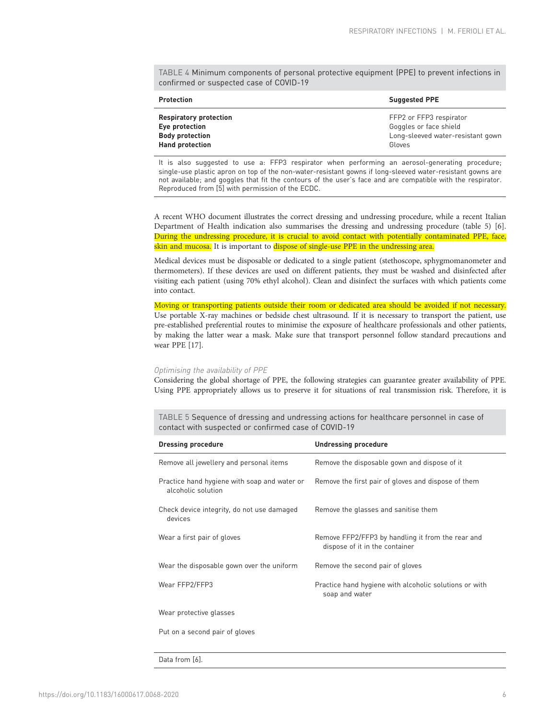<span id="page-5-0"></span>TABLE 4 Minimum components of personal protective equipment (PPE) to prevent infections in confirmed or suspected case of COVID-19

| <b>Protection</b>             | <b>Suggested PPE</b>              |
|-------------------------------|-----------------------------------|
| <b>Respiratory protection</b> | FFP2 or FFP3 respirator           |
| Eye protection                | Goggles or face shield            |
| <b>Body protection</b>        | Long-sleeved water-resistant gown |
| <b>Hand protection</b>        | Gloves                            |

It is also suggested to use a: FFP3 respirator when performing an aerosol-generating procedure; single-use plastic apron on top of the non-water-resistant gowns if long-sleeved water-resistant gowns are not available; and goggles that fit the contours of the user's face and are compatible with the respirator. Reproduced from [5] with permission of the ECDC.

A recent WHO document illustrates the correct dressing and undressing procedure, while a recent Italian Department of Health indication also summarises the dressing and undressing procedure (table 5) [\[6](#page-9-0)]. During the undressing procedure, it is crucial to avoid contact with potentially contaminated PPE, face, skin and mucosa. It is important to dispose of single-use PPE in the undressing area.

Medical devices must be disposable or dedicated to a single patient (stethoscope, sphygmomanometer and thermometers). If these devices are used on different patients, they must be washed and disinfected after visiting each patient (using 70% ethyl alcohol). Clean and disinfect the surfaces with which patients come into contact.

# Moving or transporting patients outside their room or dedicated area should be avoided if not necessary. Use portable X-ray machines or bedside chest ultrasound. If it is necessary to transport the patient, use pre-established preferential routes to minimise the exposure of healthcare professionals and other patients, by making the latter wear a mask. Make sure that transport personnel follow standard precautions and wear PPE [[17](#page-9-0)].

#### Optimising the availability of PPE

Considering the global shortage of PPE, the following strategies can guarantee greater availability of PPE. Using PPE appropriately allows us to preserve it for situations of real transmission risk. Therefore, it is

TABLE 5 Sequence of dressing and undressing actions for healthcare personnel in case of contact with suspected or confirmed case of COVID-19

| <b>Dressing procedure</b>                                          | <b>Undressing procedure</b>                                                         |
|--------------------------------------------------------------------|-------------------------------------------------------------------------------------|
| Remove all jewellery and personal items                            | Remove the disposable gown and dispose of it                                        |
| Practice hand hygiene with soap and water or<br>alcoholic solution | Remove the first pair of gloves and dispose of them                                 |
| Check device integrity, do not use damaged<br>devices              | Remove the glasses and sanitise them                                                |
| Wear a first pair of gloves                                        | Remove FFP2/FFP3 by handling it from the rear and<br>dispose of it in the container |
| Wear the disposable gown over the uniform                          | Remove the second pair of gloves                                                    |
| Wear FFP2/FFP3                                                     | Practice hand hygiene with alcoholic solutions or with<br>soap and water            |
| Wear protective glasses                                            |                                                                                     |
| Put on a second pair of gloves                                     |                                                                                     |
|                                                                    |                                                                                     |

Data from [6].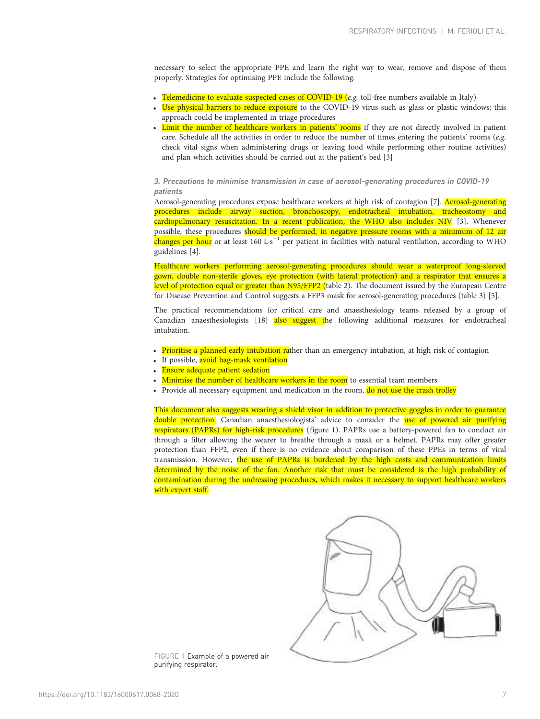necessary to select the appropriate PPE and learn the right way to wear, remove and dispose of them properly. Strategies for optimising PPE include the following.

- Telemedicine to evaluate suspected cases of COVID-19 (e.g. toll-free numbers available in Italy)
- Use physical barriers to reduce exposure to the COVID-19 virus such as glass or plastic windows; this approach could be implemented in triage procedures
- Limit the number of healthcare workers in patients' rooms if they are not directly involved in patient care. Schedule all the activities in order to reduce the number of times entering the patients' rooms (e.g. check vital signs when administering drugs or leaving food while performing other routine activities) and plan which activities should be carried out at the patient's bed [\[3](#page-9-0)]

# 3. Precautions to minimise transmission in case of aerosol-generating procedures in COVID-19 patients

Aerosol-generating procedures expose healthcare workers at high risk of contagion [[7](#page-9-0)]. Aerosol-generating procedures include airway suction, bronchoscopy, endotracheal intubation, tracheostomy and cardiopulmonary resuscitation. In a recent publication, the WHO also includes NIV [\[3](#page-9-0)]. Whenever possible, these procedures should be performed, in negative pressure rooms with a minimum of 12 air changes per hour or at least 160 L·s<sup>-1</sup> per patient in facilities with natural ventilation, according to WHO guidelines [[4](#page-9-0)].

Healthcare workers performing aerosol-generating procedures should wear a waterproof long-sleeved gown, double non-sterile gloves, eye protection (with lateral protection) and a respirator that ensures a level of protection equal or greater than N95/FFP2 ([table 2\)](#page-3-0). The document issued by the European Centre for Disease Prevention and Control suggests a FFP3 mask for aerosol-generating procedures ([table 3\)](#page-4-0) [[5](#page-9-0)].

The practical recommendations for critical care and anaesthesiology teams released by a group of Canadian anaesthesiologists [\[18\]](#page-9-0) also suggest the following additional measures for endotracheal intubation.

- Prioritise a planned early intubation rather than an emergency intubation, at high risk of contagion
- If possible, avoid bag-mask ventilation
- Ensure adequate patient sedation
- Minimise the number of healthcare workers in the room to essential team members
- Provide all necessary equipment and medication in the room, do not use the crash trolley

This document also suggests wearing a shield visor in addition to protective goggles in order to guarantee double protection. Canadian anaesthesiologists' advice to consider the use of powered air purifying respirators (PAPRs) for high-risk procedures (figure 1). PAPRs use a battery-powered fan to conduct air through a filter allowing the wearer to breathe through a mask or a helmet. PAPRs may offer greater protection than FFP2, even if there is no evidence about comparison of these PPEs in terms of viral transmission. However, the use of PAPRs is burdened by the high costs and communication limits determined by the noise of the fan. Another risk that must be considered is the high probability of contamination during the undressing procedures, which makes it necessary to support healthcare workers with expert staff.



FIGURE 1 Example of a powered air purifying respirator.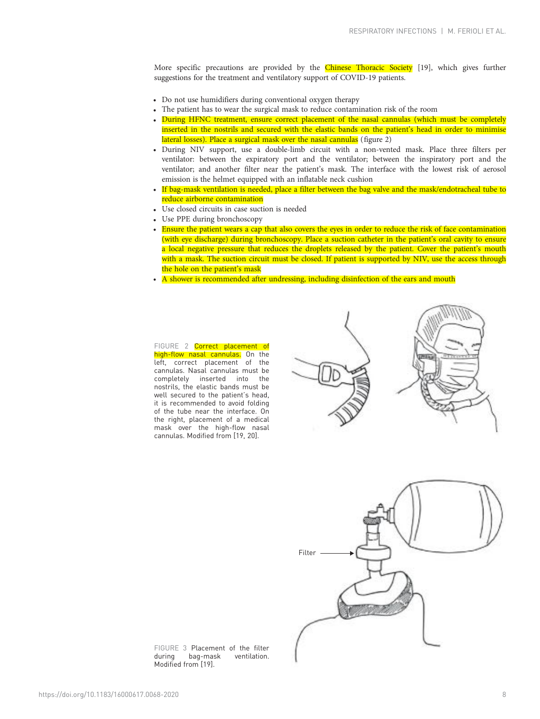More specific precautions are provided by the Chinese Thoracic Society [[19](#page-9-0)], which gives further suggestions for the treatment and ventilatory support of COVID-19 patients.

- Do not use humidifiers during conventional oxygen therapy
- The patient has to wear the surgical mask to reduce contamination risk of the room
- During HFNC treatment, ensure correct placement of the nasal cannulas (which must be completely inserted in the nostrils and secured with the elastic bands on the patient's head in order to minimise lateral losses). Place a surgical mask over the nasal cannulas (figure 2)
- During NIV support, use a double-limb circuit with a non-vented mask. Place three filters per ventilator: between the expiratory port and the ventilator; between the inspiratory port and the ventilator; and another filter near the patient's mask. The interface with the lowest risk of aerosol emission is the helmet equipped with an inflatable neck cushion
- If bag-mask ventilation is needed, place a filter between the bag valve and the mask/endotracheal tube to reduce airborne contamination
- Use closed circuits in case suction is needed
- Use PPE during bronchoscopy
- Ensure the patient wears a cap that also covers the eyes in order to reduce the risk of face contamination (with eye discharge) during bronchoscopy. Place a suction catheter in the patient's oral cavity to ensure a local negative pressure that reduces the droplets released by the patient. Cover the patient's mouth with a mask. The suction circuit must be closed. If patient is supported by NIV, use the access through the hole on the patient's mask
- A shower is recommended after undressing, including disinfection of the ears and mouth

# FIGURE 2 Correct placement of

high-flow nasal cannulas. On the left, correct placement of the cannulas. Nasal cannulas must be completely inserted into the nostrils, the elastic bands must be well secured to the patient's head, it is recommended to avoid folding of the tube near the interface. On the right, placement of a medical mask over the high-flow nasal cannulas. Modified from [\[19](#page-9-0), [20](#page-9-0)].





FIGURE 3 Placement of the filter<br>during bag-mask ventilation. ventilation. Modified from [\[19](#page-9-0)].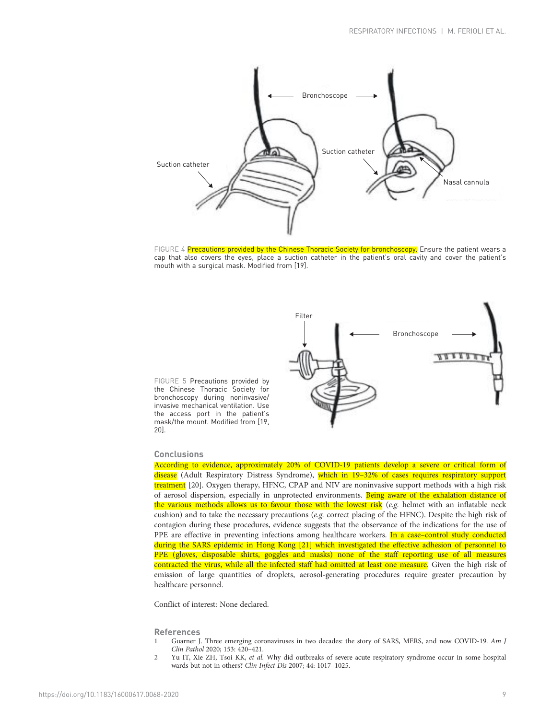<span id="page-8-0"></span>

FIGURE 4 Precautions provided by the Chinese Thoracic Society for bronchoscopy. Ensure the patient wears a cap that also covers the eyes, place a suction catheter in the patient's oral cavity and cover the patient's mouth with a surgical mask. Modified from [\[19](#page-9-0)].



FIGURE 5 Precautions provided by the Chinese Thoracic Society for bronchoscopy during noninvasive/ invasive mechanical ventilation. Use the access port in the patient's mask/the mount. Modified from [[19](#page-9-0), [20](#page-9-0)].

# **Conclusions**

According to evidence, approximately 20% of COVID-19 patients develop a severe or critical form of disease (Adult Respiratory Distress Syndrome), which in 19-32% of cases requires respiratory support treatment [\[20\]](#page-9-0). Oxygen therapy, HFNC, CPAP and NIV are noninvasive support methods with a high risk of aerosol dispersion, especially in unprotected environments. Being aware of the exhalation distance of the various methods allows us to favour those with the lowest risk  $(e.g.$  helmet with an inflatable neck cushion) and to take the necessary precautions (e.g. correct placing of the HFNC). Despite the high risk of contagion during these procedures, evidence suggests that the observance of the indications for the use of PPE are effective in preventing infections among healthcare workers. In a case-control study conducted during the SARS epidemic in Hong Kong [[21](#page-9-0)] which investigated the effective adhesion of personnel to PPE (gloves, disposable shirts, goggles and masks) none of the staff reporting use of all measures contracted the virus, while all the infected staff had omitted at least one measure. Given the high risk of emission of large quantities of droplets, aerosol-generating procedures require greater precaution by healthcare personnel.

Conflict of interest: None declared.

# References

- 1 Guarner J. Three emerging coronaviruses in two decades: the story of SARS, MERS, and now COVID-19. Am J Clin Pathol 2020; 153: 420–421.
- 2 Yu IT, Xie ZH, Tsoi KK, et al. Why did outbreaks of severe acute respiratory syndrome occur in some hospital wards but not in others? Clin Infect Dis 2007; 44: 1017–1025.